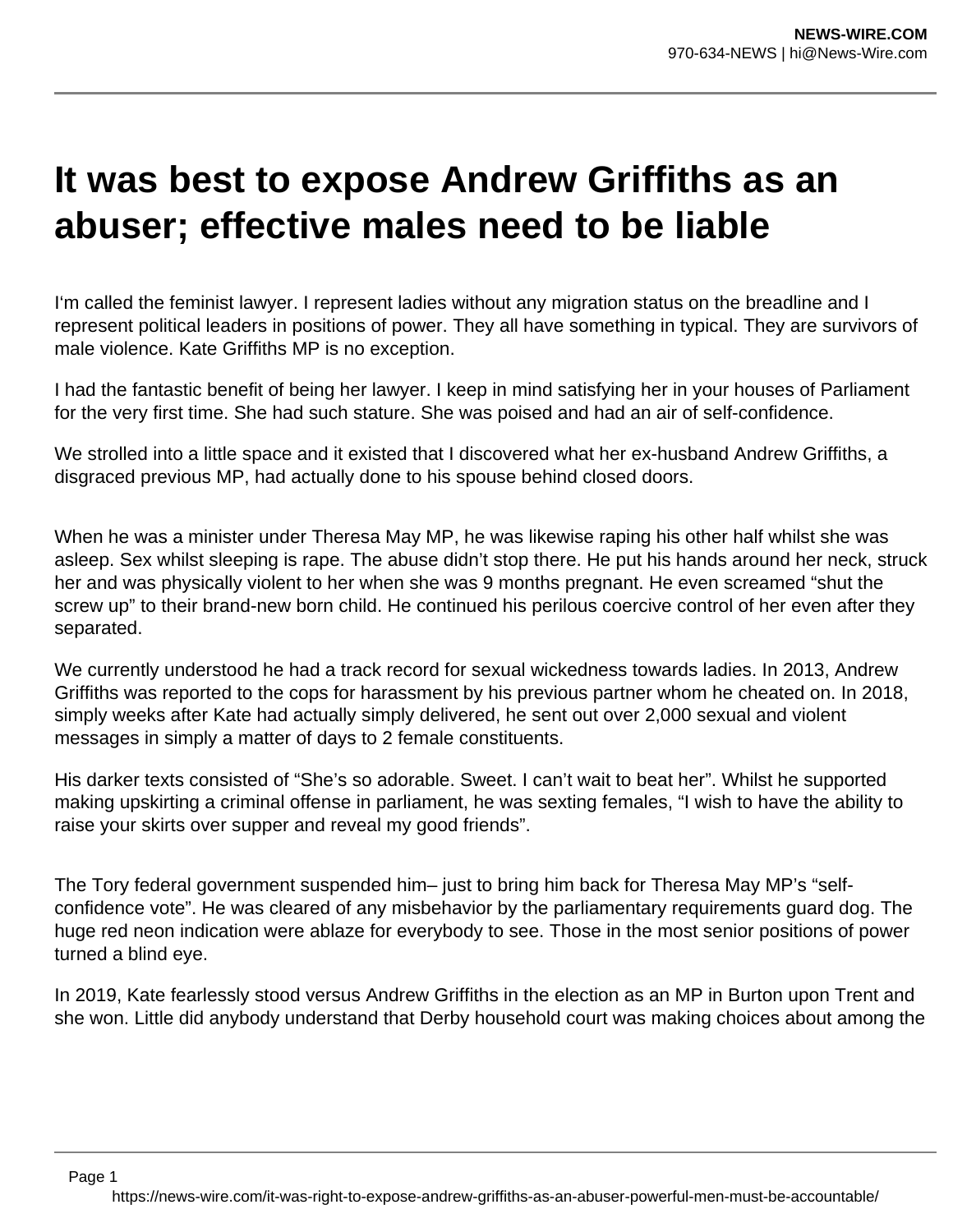## **It was best to expose Andrew Griffiths as an abuser; effective males need to be liable**

I'm called the feminist lawyer. I represent ladies without any migration status on the breadline and I represent political leaders in positions of power. They all have something in typical. They are survivors of male violence. Kate Griffiths MP is no exception.

I had the fantastic benefit of being her lawyer. I keep in mind satisfying her in your houses of Parliament for the very first time. She had such stature. She was poised and had an air of self-confidence.

We strolled into a little space and it existed that I discovered what her ex-husband Andrew Griffiths, a disgraced previous MP, had actually done to his spouse behind closed doors.

When he was a minister under Theresa May MP, he was likewise raping his other half whilst she was asleep. Sex whilst sleeping is rape. The abuse didn't stop there. He put his hands around her neck, struck her and was physically violent to her when she was 9 months pregnant. He even screamed "shut the screw up" to their brand-new born child. He continued his perilous coercive control of her even after they separated.

We currently understood he had a track record for sexual wickedness towards ladies. In 2013, Andrew Griffiths was reported to the cops for harassment by his previous partner whom he cheated on. In 2018, simply weeks after Kate had actually simply delivered, he sent out over 2,000 sexual and violent messages in simply a matter of days to 2 female constituents.

His darker texts consisted of "She's so adorable. Sweet. I can't wait to beat her". Whilst he supported making upskirting a criminal offense in parliament, he was sexting females, "I wish to have the ability to raise your skirts over supper and reveal my good friends".

The Tory federal government suspended him– just to bring him back for Theresa May MP's "selfconfidence vote". He was cleared of any misbehavior by the parliamentary requirements guard dog. The huge red neon indication were ablaze for everybody to see. Those in the most senior positions of power turned a blind eye.

In 2019, Kate fearlessly stood versus Andrew Griffiths in the election as an MP in Burton upon Trent and she won. Little did anybody understand that Derby household court was making choices about among the

https://news-wire.com/it-was-right-to-expose-andrew-griffiths-as-an-abuser-powerful-men-must-be-accountable/

Page 1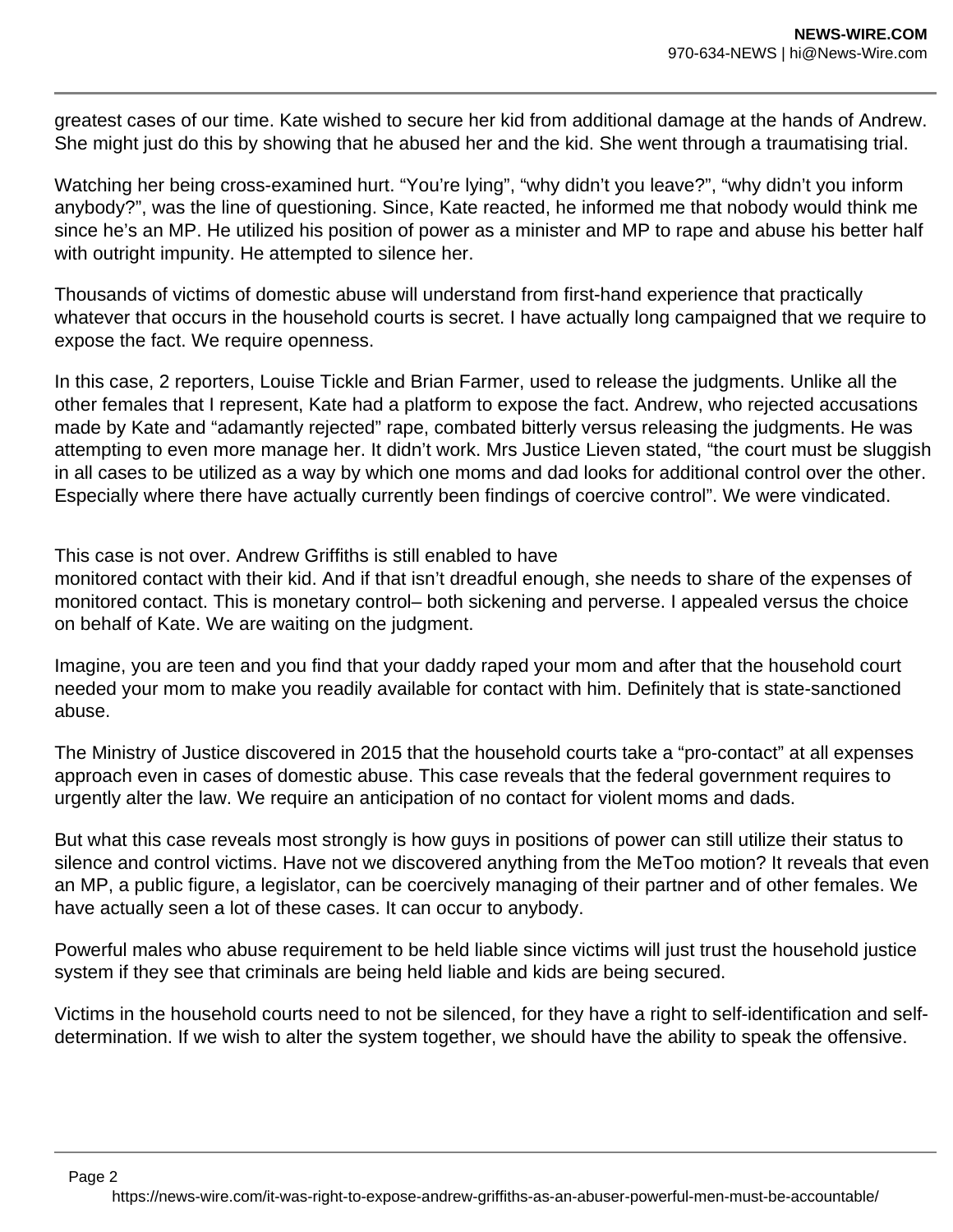greatest cases of our time. Kate wished to secure her kid from additional damage at the hands of Andrew. She might just do this by showing that he abused her and the kid. She went through a traumatising trial.

Watching her being cross-examined hurt. "You're lying", "why didn't you leave?", "why didn't you inform anybody?", was the line of questioning. Since, Kate reacted, he informed me that nobody would think me since he's an MP. He utilized his position of power as a minister and MP to rape and abuse his better half with outright impunity. He attempted to silence her.

Thousands of victims of domestic abuse will understand from first-hand experience that practically whatever that occurs in the household courts is secret. I have actually long campaigned that we require to expose the fact. We require openness.

In this case, 2 reporters, Louise Tickle and Brian Farmer, used to release the judgments. Unlike all the other females that I represent, Kate had a platform to expose the fact. Andrew, who rejected accusations made by Kate and "adamantly rejected" rape, combated bitterly versus releasing the judgments. He was attempting to even more manage her. It didn't work. Mrs Justice Lieven stated, "the court must be sluggish in all cases to be utilized as a way by which one moms and dad looks for additional control over the other. Especially where there have actually currently been findings of coercive control". We were vindicated.

This case is not over. Andrew Griffiths is still enabled to have

monitored contact with their kid. And if that isn't dreadful enough, she needs to share of the expenses of monitored contact. This is monetary control– both sickening and perverse. I appealed versus the choice on behalf of Kate. We are waiting on the judgment.

Imagine, you are teen and you find that your daddy raped your mom and after that the household court needed your mom to make you readily available for contact with him. Definitely that is state-sanctioned abuse.

The Ministry of Justice discovered in 2015 that the household courts take a "pro-contact" at all expenses approach even in cases of domestic abuse. This case reveals that the federal government requires to urgently alter the law. We require an anticipation of no contact for violent moms and dads.

But what this case reveals most strongly is how guys in positions of power can still utilize their status to silence and control victims. Have not we discovered anything from the MeToo motion? It reveals that even an MP, a public figure, a legislator, can be coercively managing of their partner and of other females. We have actually seen a lot of these cases. It can occur to anybody.

Powerful males who abuse requirement to be held liable since victims will just trust the household justice system if they see that criminals are being held liable and kids are being secured.

Victims in the household courts need to not be silenced, for they have a right to self-identification and selfdetermination. If we wish to alter the system together, we should have the ability to speak the offensive.

https://news-wire.com/it-was-right-to-expose-andrew-griffiths-as-an-abuser-powerful-men-must-be-accountable/

Page 2